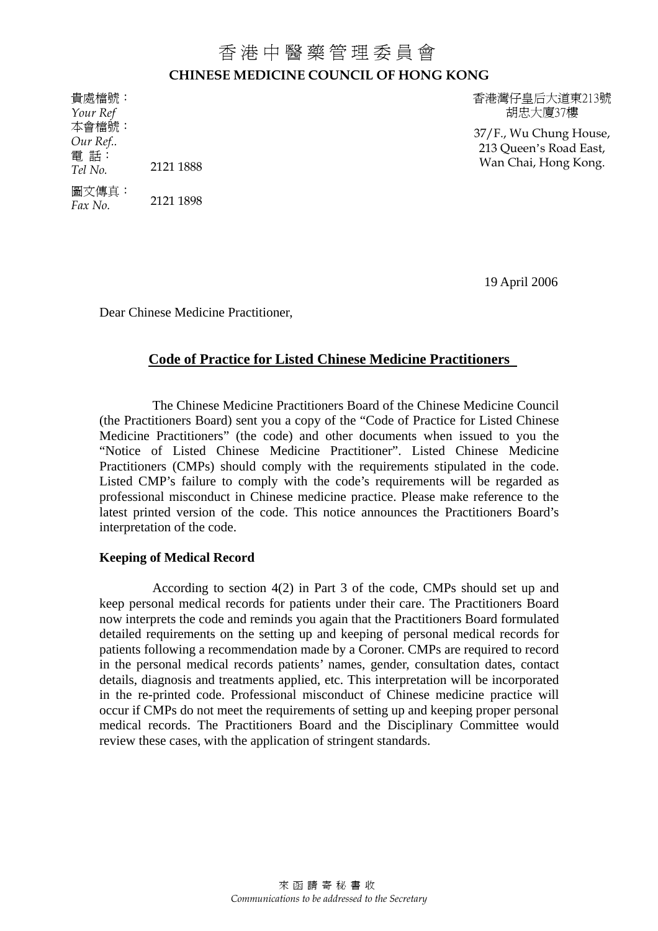## 香港中醫藥管理委員會 **CHINESE MEDICINE COUNCIL OF HONG KONG**

圖文傳真: 2121 1898 *Fax No.* 

貴處檔號: 香港灣仔皇后大道東213號 *Your Ref* **html** *Your Ref* **html** *Your Ref B* 

本會檔號: 37/F., Wu Chung House, *Our Ref..* 213 Queen's Road East, 電 話: Wan Chai, Hong Kong. *Tel No.* 2121 1888

19 April 2006

Dear Chinese Medicine Practitioner,

## **Code of Practice for Listed Chinese Medicine Practitioners**

 The Chinese Medicine Practitioners Board of the Chinese Medicine Council (the Practitioners Board) sent you a copy of the "Code of Practice for Listed Chinese Medicine Practitioners" (the code) and other documents when issued to you the "Notice of Listed Chinese Medicine Practitioner". Listed Chinese Medicine Practitioners (CMPs) should comply with the requirements stipulated in the code. Listed CMP's failure to comply with the code's requirements will be regarded as professional misconduct in Chinese medicine practice. Please make reference to the latest printed version of the code. This notice announces the Practitioners Board's interpretation of the code.

## **Keeping of Medical Record**

According to section 4(2) in Part 3 of the code, CMPs should set up and keep personal medical records for patients under their care. The Practitioners Board now interprets the code and reminds you again that the Practitioners Board formulated detailed requirements on the setting up and keeping of personal medical records for patients following a recommendation made by a Coroner. CMPs are required to record in the personal medical records patients' names, gender, consultation dates, contact details, diagnosis and treatments applied, etc. This interpretation will be incorporated in the re-printed code. Professional misconduct of Chinese medicine practice will occur if CMPs do not meet the requirements of setting up and keeping proper personal medical records. The Practitioners Board and the Disciplinary Committee would review these cases, with the application of stringent standards.